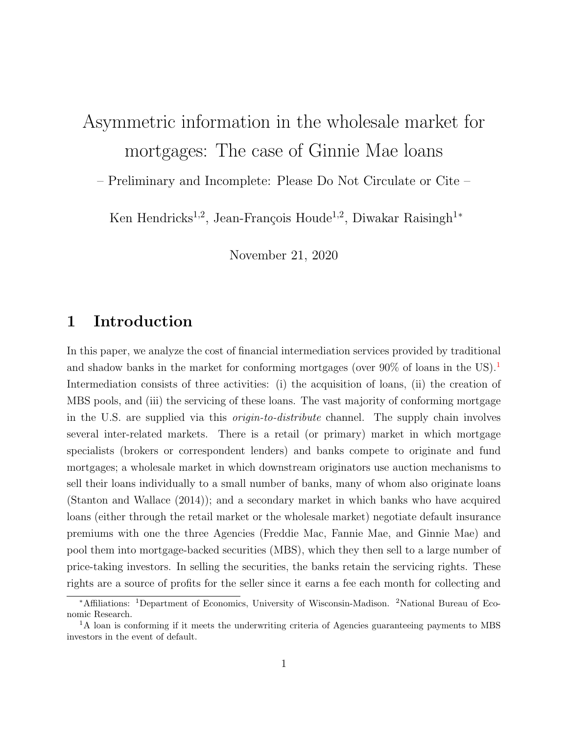# Asymmetric information in the wholesale market for mortgages: The case of Ginnie Mae loans

– Preliminary and Incomplete: Please Do Not Circulate or Cite –

Ken Hendricks<sup>1,2</sup>, Jean-François Houde<sup>1,2</sup>, Diwakar Raisingh<sup>1\*</sup>

November 21, 2020

### 1 Introduction

In this paper, we analyze the cost of financial intermediation services provided by traditional and shadow banks in the market for conforming mortgages (over  $90\%$  of loans in the US).<sup>[1](#page-0-0)</sup> Intermediation consists of three activities: (i) the acquisition of loans, (ii) the creation of MBS pools, and (iii) the servicing of these loans. The vast majority of conforming mortgage in the U.S. are supplied via this origin-to-distribute channel. The supply chain involves several inter-related markets. There is a retail (or primary) market in which mortgage specialists (brokers or correspondent lenders) and banks compete to originate and fund mortgages; a wholesale market in which downstream originators use auction mechanisms to sell their loans individually to a small number of banks, many of whom also originate loans [\(Stanton and Wallace \(2014\)\)](#page-25-0); and a secondary market in which banks who have acquired loans (either through the retail market or the wholesale market) negotiate default insurance premiums with one the three Agencies (Freddie Mac, Fannie Mae, and Ginnie Mae) and pool them into mortgage-backed securities (MBS), which they then sell to a large number of price-taking investors. In selling the securities, the banks retain the servicing rights. These rights are a source of profits for the seller since it earns a fee each month for collecting and

<sup>∗</sup>Affiliations: <sup>1</sup>Department of Economics, University of Wisconsin-Madison. <sup>2</sup>National Bureau of Economic Research.

<span id="page-0-0"></span><sup>&</sup>lt;sup>1</sup>A loan is conforming if it meets the underwriting criteria of Agencies guaranteeing payments to MBS investors in the event of default.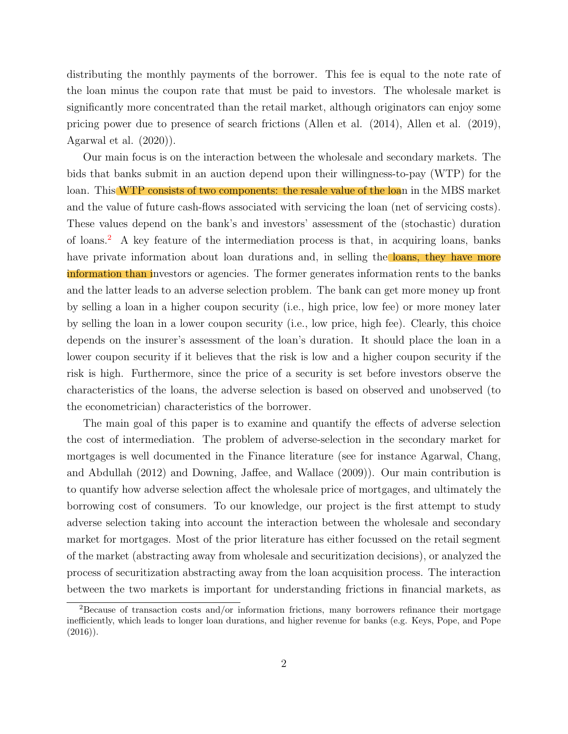distributing the monthly payments of the borrower. This fee is equal to the note rate of the loan minus the coupon rate that must be paid to investors. The wholesale market is significantly more concentrated than the retail market, although originators can enjoy some pricing power due to presence of search frictions [\(Allen et al. \(2014\),](#page-24-0) [Allen et al. \(2019\),](#page-24-1) [Agarwal et al. \(2020\)\)](#page-24-2).

Our main focus is on the interaction between the wholesale and secondary markets. The bids that banks submit in an auction depend upon their willingness-to-pay (WTP) for the loan. This WTP consists of two components: the resale value of the loan in the MBS market and the value of future cash-flows associated with servicing the loan (net of servicing costs). These values depend on the bank's and investors' assessment of the (stochastic) duration of loans.[2](#page-1-0) A key feature of the intermediation process is that, in acquiring loans, banks have private information about loan durations and, in selling the **loans**, they have more information than investors or agencies. The former generates information rents to the banks and the latter leads to an adverse selection problem. The bank can get more money up front by selling a loan in a higher coupon security (i.e., high price, low fee) or more money later by selling the loan in a lower coupon security (i.e., low price, high fee). Clearly, this choice depends on the insurer's assessment of the loan's duration. It should place the loan in a lower coupon security if it believes that the risk is low and a higher coupon security if the risk is high. Furthermore, since the price of a security is set before investors observe the characteristics of the loans, the adverse selection is based on observed and unobserved (to the econometrician) characteristics of the borrower.

The main goal of this paper is to examine and quantify the effects of adverse selection the cost of intermediation. The problem of adverse-selection in the secondary market for mortgages is well documented in the Finance literature (see for instance [Agarwal, Chang,](#page-24-3) [and Abdullah \(2012\)](#page-24-3) and [Downing, Jaffee, and Wallace \(2009\)\)](#page-24-4). Our main contribution is to quantify how adverse selection affect the wholesale price of mortgages, and ultimately the borrowing cost of consumers. To our knowledge, our project is the first attempt to study adverse selection taking into account the interaction between the wholesale and secondary market for mortgages. Most of the prior literature has either focussed on the retail segment of the market (abstracting away from wholesale and securitization decisions), or analyzed the process of securitization abstracting away from the loan acquisition process. The interaction between the two markets is important for understanding frictions in financial markets, as

<span id="page-1-0"></span><sup>2</sup>Because of transaction costs and/or information frictions, many borrowers refinance their mortgage inefficiently, which leads to longer loan durations, and higher revenue for banks (e.g. [Keys, Pope, and Pope](#page-24-5)  $(2016)$ ).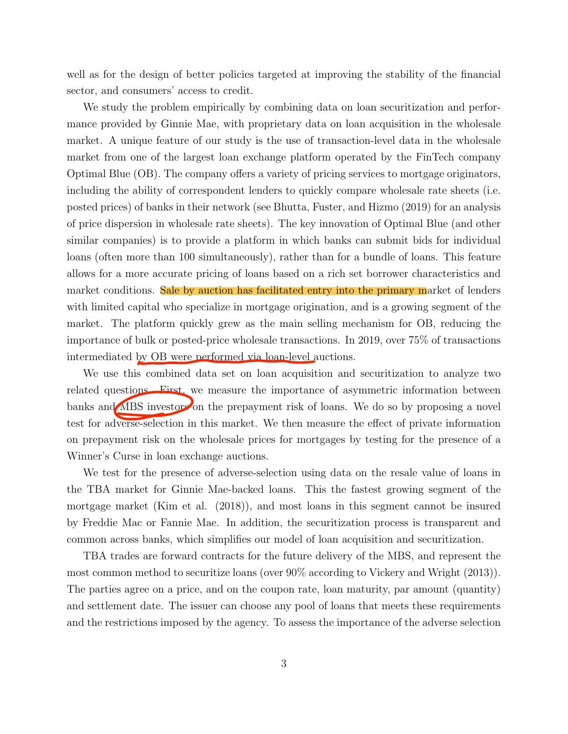well as for the design of better policies targeted at improving the stability of the financial sector, and consumers' access to credit.

We study the problem empirically by combining data on loan securitization and performance provided by Ginnie Mae, with proprietary data on loan acquisition in the wholesale market. A unique feature of our study is the use of transaction-level data in the wholesale market from one of the largest loan exchange platform operated by the FinTech company Optimal Blue (OB). The company offers a variety of pricing services to mortgage originators, including the ability of correspondent lenders to quickly compare wholesale rate sheets (i.e. posted prices) of banks in their network (see [Bhutta, Fuster, and Hizmo \(2019\)](#page-24-6) for an analysis of price dispersion in wholesale rate sheets). The key innovation of Optimal Blue (and other similar companies) is to provide a platform in which banks can submit bids for individual loans (often more than 100 simultaneously), rather than for a bundle of loans. This feature allows for a more accurate pricing of loans based on a rich set borrower characteristics and market conditions. Sale by auction has facilitated entry into the primary market of lenders with limited capital who specialize in mortgage origination, and is a growing segment of the market. The platform quickly grew as the main selling mechanism for OB, reducing the importance of bulk or posted-price wholesale transactions. In 2019, over 75% of transactions intermediated by OB were performed via loan-level auctions.

We use this combined data set on loan acquisition and securitization to analyze two related questions. First, we measure the importance of asymmetric information between banks and MBS investors on the prepayment risk of loans. We do so by proposing a novel test for adverse-selection in this market. We then measure the effect of private information on prepayment risk on the wholesale prices for mortgages by testing for the presence of a Winner's Curse in loan exchange auctions.

We test for the presence of adverse-selection using data on the resale value of loans in the TBA market for Ginnie Mae-backed loans. This the fastest growing segment of the mortgage market [\(Kim et al. \(2018\)\)](#page-25-1), and most loans in this segment cannot be insured by Freddie Mac or Fannie Mae. In addition, the securitization process is transparent and common across banks, which simplifies our model of loan acquisition and securitization.

TBA trades are forward contracts for the future delivery of the MBS, and represent the most common method to securitize loans (over 90% according to [Vickery and Wright \(2013\)\)](#page-25-2). The parties agree on a price, and on the coupon rate, loan maturity, par amount (quantity) and settlement date. The issuer can choose any pool of loans that meets these requirements and the restrictions imposed by the agency. To assess the importance of the adverse selection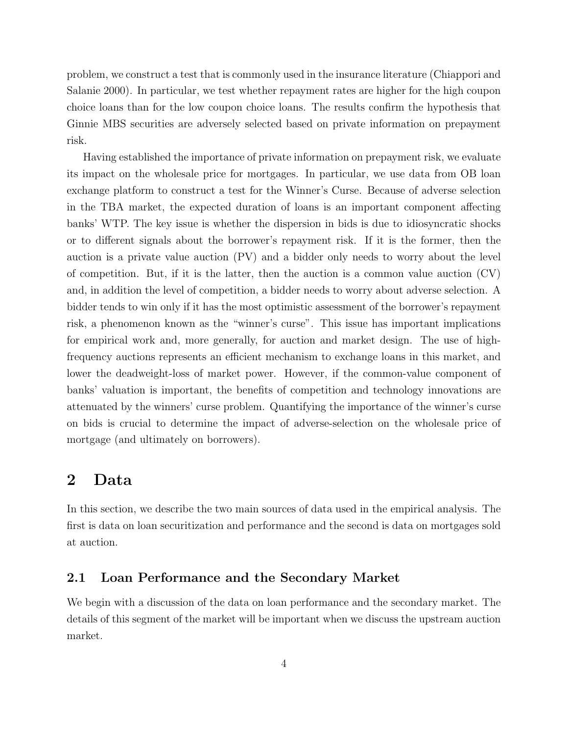problem, we construct a test that is commonly used in the insurance literature [\(Chiappori and](#page-24-7) [Salanie 2000\)](#page-24-7). In particular, we test whether repayment rates are higher for the high coupon choice loans than for the low coupon choice loans. The results confirm the hypothesis that Ginnie MBS securities are adversely selected based on private information on prepayment risk.

Having established the importance of private information on prepayment risk, we evaluate its impact on the wholesale price for mortgages. In particular, we use data from OB loan exchange platform to construct a test for the Winner's Curse. Because of adverse selection in the TBA market, the expected duration of loans is an important component affecting banks' WTP. The key issue is whether the dispersion in bids is due to idiosyncratic shocks or to different signals about the borrower's repayment risk. If it is the former, then the auction is a private value auction (PV) and a bidder only needs to worry about the level of competition. But, if it is the latter, then the auction is a common value auction  $(CV)$ and, in addition the level of competition, a bidder needs to worry about adverse selection. A bidder tends to win only if it has the most optimistic assessment of the borrower's repayment risk, a phenomenon known as the "winner's curse". This issue has important implications for empirical work and, more generally, for auction and market design. The use of highfrequency auctions represents an efficient mechanism to exchange loans in this market, and lower the deadweight-loss of market power. However, if the common-value component of banks' valuation is important, the benefits of competition and technology innovations are attenuated by the winners' curse problem. Quantifying the importance of the winner's curse on bids is crucial to determine the impact of adverse-selection on the wholesale price of mortgage (and ultimately on borrowers).

### 2 Data

In this section, we describe the two main sources of data used in the empirical analysis. The first is data on loan securitization and performance and the second is data on mortgages sold at auction.

### 2.1 Loan Performance and the Secondary Market

We begin with a discussion of the data on loan performance and the secondary market. The details of this segment of the market will be important when we discuss the upstream auction market.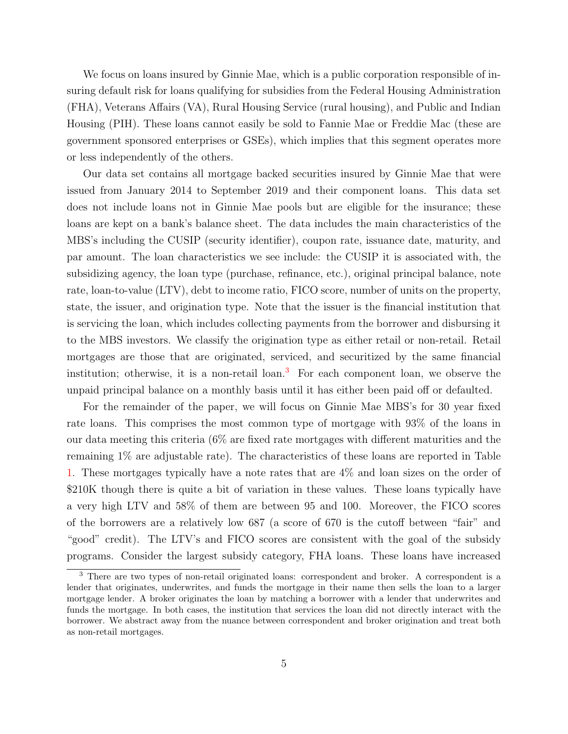We focus on loans insured by Ginnie Mae, which is a public corporation responsible of insuring default risk for loans qualifying for subsidies from the Federal Housing Administration (FHA), Veterans Affairs (VA), Rural Housing Service (rural housing), and Public and Indian Housing (PIH). These loans cannot easily be sold to Fannie Mae or Freddie Mac (these are government sponsored enterprises or GSEs), which implies that this segment operates more or less independently of the others.

Our data set contains all mortgage backed securities insured by Ginnie Mae that were issued from January 2014 to September 2019 and their component loans. This data set does not include loans not in Ginnie Mae pools but are eligible for the insurance; these loans are kept on a bank's balance sheet. The data includes the main characteristics of the MBS's including the CUSIP (security identifier), coupon rate, issuance date, maturity, and par amount. The loan characteristics we see include: the CUSIP it is associated with, the subsidizing agency, the loan type (purchase, refinance, etc.), original principal balance, note rate, loan-to-value (LTV), debt to income ratio, FICO score, number of units on the property, state, the issuer, and origination type. Note that the issuer is the financial institution that is servicing the loan, which includes collecting payments from the borrower and disbursing it to the MBS investors. We classify the origination type as either retail or non-retail. Retail mortgages are those that are originated, serviced, and securitized by the same financial institution; otherwise, it is a non-retail  $\alpha$ .<sup>[3](#page-4-0)</sup> For each component loan, we observe the unpaid principal balance on a monthly basis until it has either been paid off or defaulted.

For the remainder of the paper, we will focus on Ginnie Mae MBS's for 30 year fixed rate loans. This comprises the most common type of mortgage with 93% of the loans in our data meeting this criteria  $(6\%$  are fixed rate mortgages with different maturities and the remaining 1% are adjustable rate). The characteristics of these loans are reported in Table [1.](#page-5-0) These mortgages typically have a note rates that are 4% and loan sizes on the order of \$210K though there is quite a bit of variation in these values. These loans typically have a very high LTV and 58% of them are between 95 and 100. Moreover, the FICO scores of the borrowers are a relatively low 687 (a score of 670 is the cutoff between "fair" and "good" credit). The LTV's and FICO scores are consistent with the goal of the subsidy programs. Consider the largest subsidy category, FHA loans. These loans have increased

<span id="page-4-0"></span><sup>3</sup> There are two types of non-retail originated loans: correspondent and broker. A correspondent is a lender that originates, underwrites, and funds the mortgage in their name then sells the loan to a larger mortgage lender. A broker originates the loan by matching a borrower with a lender that underwrites and funds the mortgage. In both cases, the institution that services the loan did not directly interact with the borrower. We abstract away from the nuance between correspondent and broker origination and treat both as non-retail mortgages.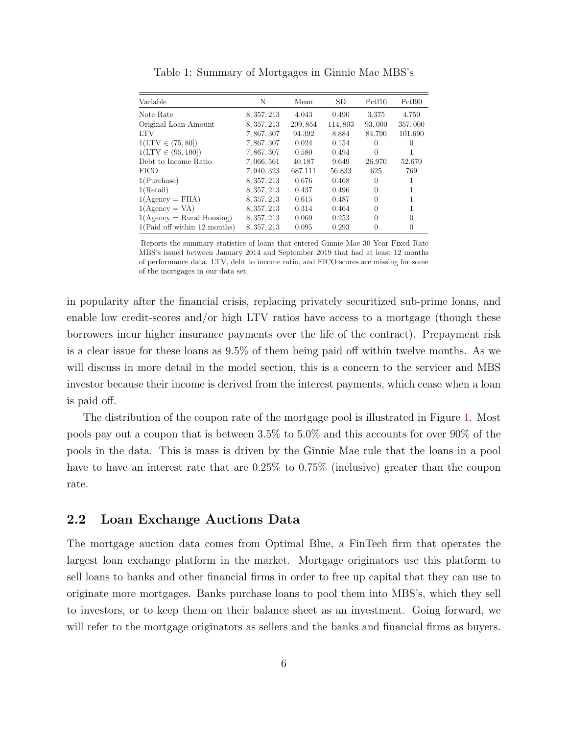<span id="page-5-0"></span>

| Variable                     | N           | Mean     | <b>SD</b> | Pctl <sub>10</sub> | Pctl90  |
|------------------------------|-------------|----------|-----------|--------------------|---------|
| Note Rate                    | 8, 357, 213 | 4.043    | 0.490     | 3.375              | 4.750   |
| Original Loan Amount         | 8, 357, 213 | 209, 854 | 114,803   | 93,000             | 357,000 |
| <b>LTV</b>                   | 7,867,307   | 94.392   | 8.884     | 84.790             | 101.690 |
| $1(LTV \in (75, 80])$        | 7, 867, 307 | 0.024    | 0.154     | $\theta$           |         |
| $1(LTV \in (95, 100])$       | 7,867,307   | 0.580    | 0.494     | $\Omega$           |         |
| Debt to Income Ratio         | 7,066,561   | 40.187   | 9.649     | 26.970             | 52.670  |
| <b>FICO</b>                  | 7, 940, 323 | 687.111  | 56.833    | 625                | 769     |
| 1(Purchase)                  | 8, 357, 213 | 0.676    | 0.468     | $\Omega$           |         |
| 1(Retail)                    | 8, 357, 213 | 0.437    | 0.496     | 0                  |         |
| $1(Agency = FHA)$            | 8, 357, 213 | 0.615    | 0.487     | $\Omega$           |         |
| $1(Agency = VA)$             | 8, 357, 213 | 0.314    | 0.464     | $\Omega$           |         |
| $1(Agency = Rural Housing)$  | 8, 357, 213 | 0.069    | 0.253     | $\Omega$           |         |
| 1(Paid off within 12 months) | 8, 357, 213 | 0.095    | 0.293     | 0                  |         |

Table 1: Summary of Mortgages in Ginnie Mae MBS's

Reports the summary statistics of loans that entered Ginnie Mae 30 Year Fixed Rate MBS's issued between January 2014 and September 2019 that had at least 12 months of performance data. LTV, debt to income ratio, and FICO scores are missing for some of the mortgages in our data set.

in popularity after the financial crisis, replacing privately securitized sub-prime loans, and enable low credit-scores and/or high LTV ratios have access to a mortgage (though these borrowers incur higher insurance payments over the life of the contract). Prepayment risk is a clear issue for these loans as 9.5% of them being paid off within twelve months. As we will discuss in more detail in the model section, this is a concern to the servicer and MBS investor because their income is derived from the interest payments, which cease when a loan is paid off.

The distribution of the coupon rate of the mortgage pool is illustrated in Figure [1.](#page-6-0) Most pools pay out a coupon that is between 3.5% to 5.0% and this accounts for over 90% of the pools in the data. This is mass is driven by the Ginnie Mae rule that the loans in a pool have to have an interest rate that are 0.25% to 0.75% (inclusive) greater than the coupon rate.

#### 2.2 Loan Exchange Auctions Data

The mortgage auction data comes from Optimal Blue, a FinTech firm that operates the largest loan exchange platform in the market. Mortgage originators use this platform to sell loans to banks and other financial firms in order to free up capital that they can use to originate more mortgages. Banks purchase loans to pool them into MBS's, which they sell to investors, or to keep them on their balance sheet as an investment. Going forward, we will refer to the mortgage originators as sellers and the banks and financial firms as buyers.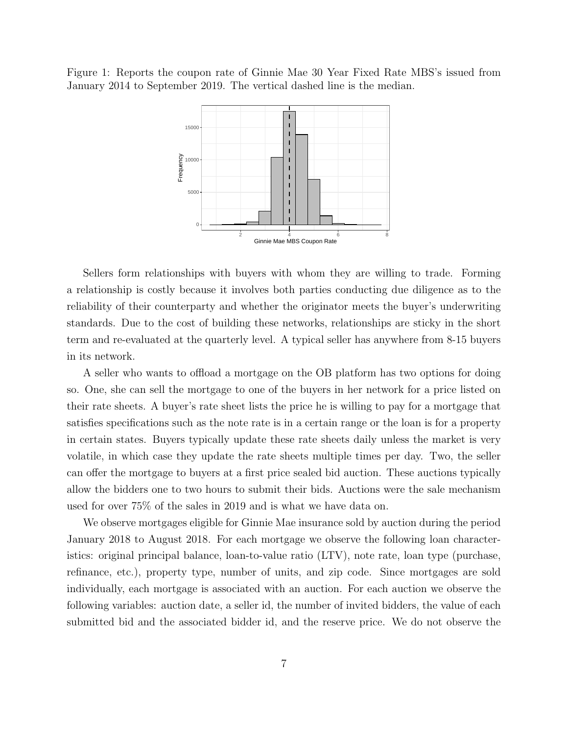<span id="page-6-0"></span>Figure 1: Reports the coupon rate of Ginnie Mae 30 Year Fixed Rate MBS's issued from January 2014 to September 2019. The vertical dashed line is the median.



Sellers form relationships with buyers with whom they are willing to trade. Forming a relationship is costly because it involves both parties conducting due diligence as to the reliability of their counterparty and whether the originator meets the buyer's underwriting standards. Due to the cost of building these networks, relationships are sticky in the short term and re-evaluated at the quarterly level. A typical seller has anywhere from 8-15 buyers in its network.

A seller who wants to offload a mortgage on the OB platform has two options for doing so. One, she can sell the mortgage to one of the buyers in her network for a price listed on their rate sheets. A buyer's rate sheet lists the price he is willing to pay for a mortgage that satisfies specifications such as the note rate is in a certain range or the loan is for a property in certain states. Buyers typically update these rate sheets daily unless the market is very volatile, in which case they update the rate sheets multiple times per day. Two, the seller can offer the mortgage to buyers at a first price sealed bid auction. These auctions typically allow the bidders one to two hours to submit their bids. Auctions were the sale mechanism used for over 75% of the sales in 2019 and is what we have data on.

We observe mortgages eligible for Ginnie Mae insurance sold by auction during the period January 2018 to August 2018. For each mortgage we observe the following loan characteristics: original principal balance, loan-to-value ratio (LTV), note rate, loan type (purchase, refinance, etc.), property type, number of units, and zip code. Since mortgages are sold individually, each mortgage is associated with an auction. For each auction we observe the following variables: auction date, a seller id, the number of invited bidders, the value of each submitted bid and the associated bidder id, and the reserve price. We do not observe the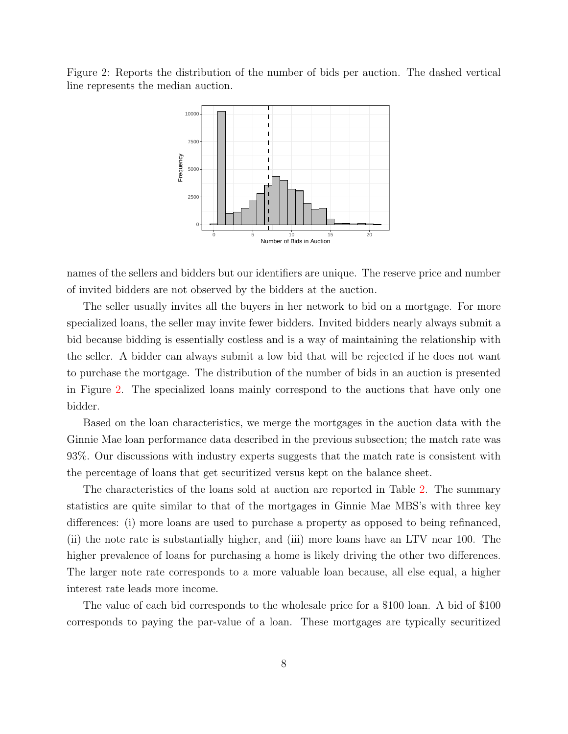<span id="page-7-0"></span>Figure 2: Reports the distribution of the number of bids per auction. The dashed vertical line represents the median auction.



names of the sellers and bidders but our identifiers are unique. The reserve price and number of invited bidders are not observed by the bidders at the auction.

The seller usually invites all the buyers in her network to bid on a mortgage. For more specialized loans, the seller may invite fewer bidders. Invited bidders nearly always submit a bid because bidding is essentially costless and is a way of maintaining the relationship with the seller. A bidder can always submit a low bid that will be rejected if he does not want to purchase the mortgage. The distribution of the number of bids in an auction is presented in Figure [2.](#page-7-0) The specialized loans mainly correspond to the auctions that have only one bidder.

Based on the loan characteristics, we merge the mortgages in the auction data with the Ginnie Mae loan performance data described in the previous subsection; the match rate was 93%. Our discussions with industry experts suggests that the match rate is consistent with the percentage of loans that get securitized versus kept on the balance sheet.

The characteristics of the loans sold at auction are reported in Table [2.](#page-8-0) The summary statistics are quite similar to that of the mortgages in Ginnie Mae MBS's with three key differences: (i) more loans are used to purchase a property as opposed to being refinanced, (ii) the note rate is substantially higher, and (iii) more loans have an LTV near 100. The higher prevalence of loans for purchasing a home is likely driving the other two differences. The larger note rate corresponds to a more valuable loan because, all else equal, a higher interest rate leads more income.

The value of each bid corresponds to the wholesale price for a \$100 loan. A bid of \$100 corresponds to paying the par-value of a loan. These mortgages are typically securitized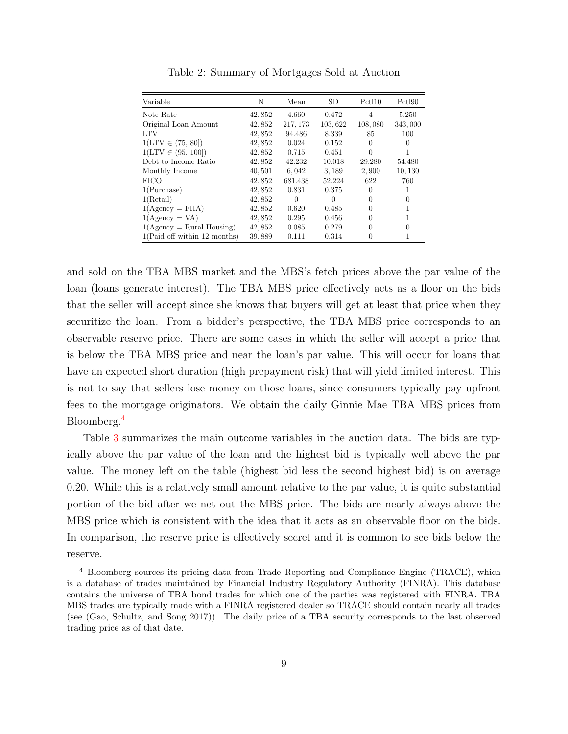<span id="page-8-0"></span>

| Variable                     | N      | Mean     | <b>SD</b> | Pctl10         | Pctl90  |
|------------------------------|--------|----------|-----------|----------------|---------|
| Note Rate                    | 42,852 | 4.660    | 0.472     | $\overline{4}$ | 5.250   |
| Original Loan Amount         | 42,852 | 217, 173 | 103,622   | 108,080        | 343,000 |
| LTV                          | 42,852 | 94.486   | 8.339     | 85             | 100     |
| $1(LTV \in (75, 80])$        | 42,852 | 0.024    | 0.152     | $\Omega$       | 0       |
| $1(LTV \in (95, 100])$       | 42,852 | 0.715    | 0.451     | $\theta$       |         |
| Debt to Income Ratio         | 42,852 | 42.232   | 10.018    | 29.280         | 54.480  |
| Monthly Income               | 40,501 | 6,042    | 3,189     | 2,900          | 10, 130 |
| <b>FICO</b>                  | 42,852 | 681.438  | 52.224    | 622            | 760     |
| 1(Purchase)                  | 42,852 | 0.831    | 0.375     | 0              | 1       |
| 1(Retail)                    | 42,852 | $\Omega$ | $\Omega$  | 0              | 0       |
| $1(Agency = FHA)$            | 42,852 | 0.620    | 0.485     | $\Omega$       | 1       |
| $1(Agency = VA)$             | 42,852 | 0.295    | 0.456     | $\Omega$       |         |
| $1(Agency = Rural Housing)$  | 42,852 | 0.085    | 0.279     | 0              | 0       |
| 1(Paid off within 12 months) | 39,889 | 0.111    | 0.314     | $\theta$       | 1       |

Table 2: Summary of Mortgages Sold at Auction

and sold on the TBA MBS market and the MBS's fetch prices above the par value of the loan (loans generate interest). The TBA MBS price effectively acts as a floor on the bids that the seller will accept since she knows that buyers will get at least that price when they securitize the loan. From a bidder's perspective, the TBA MBS price corresponds to an observable reserve price. There are some cases in which the seller will accept a price that is below the TBA MBS price and near the loan's par value. This will occur for loans that have an expected short duration (high prepayment risk) that will yield limited interest. This is not to say that sellers lose money on those loans, since consumers typically pay upfront fees to the mortgage originators. We obtain the daily Ginnie Mae TBA MBS prices from Bloomberg.[4](#page-8-1)

Table [3](#page-9-0) summarizes the main outcome variables in the auction data. The bids are typically above the par value of the loan and the highest bid is typically well above the par value. The money left on the table (highest bid less the second highest bid) is on average 0.20. While this is a relatively small amount relative to the par value, it is quite substantial portion of the bid after we net out the MBS price. The bids are nearly always above the MBS price which is consistent with the idea that it acts as an observable floor on the bids. In comparison, the reserve price is effectively secret and it is common to see bids below the reserve.

<span id="page-8-1"></span><sup>4</sup> Bloomberg sources its pricing data from Trade Reporting and Compliance Engine (TRACE), which is a database of trades maintained by Financial Industry Regulatory Authority (FINRA). This database contains the universe of TBA bond trades for which one of the parties was registered with FINRA. TBA MBS trades are typically made with a FINRA registered dealer so TRACE should contain nearly all trades (see [\(Gao, Schultz, and Song 2017\)](#page-24-8)). The daily price of a TBA security corresponds to the last observed trading price as of that date.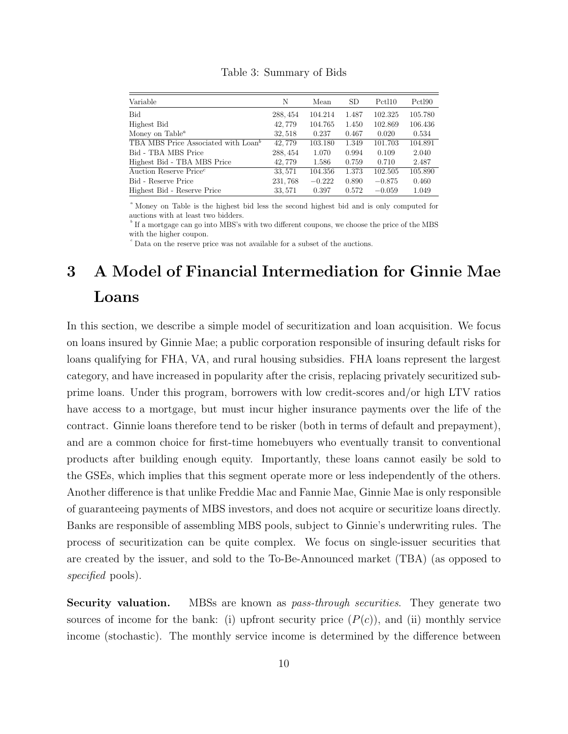<span id="page-9-0"></span>

| Variable                                        | N        | Mean     | <b>SD</b> | Pctl10   | Pctl90  |
|-------------------------------------------------|----------|----------|-----------|----------|---------|
| <b>Bid</b>                                      | 288, 454 | 104.214  | 1.487     | 102.325  | 105.780 |
| Highest Bid                                     | 42,779   | 104.765  | 1.450     | 102.869  | 106.436 |
| Money on Table <sup><math>a</math></sup>        | 32,518   | 0.237    | 0.467     | 0.020    | 0.534   |
| TBA MBS Price Associated with Loan <sup>b</sup> | 42,779   | 103.180  | 1.349     | 101.703  | 104.891 |
| Bid - TBA MBS Price                             | 288, 454 | 1.070    | 0.994     | 0.109    | 2.040   |
| Highest Bid - TBA MBS Price                     | 42,779   | 1.586    | 0.759     | 0.710    | 2.487   |
| Auction Reserve Price <sup>c</sup>              | 33, 571  | 104.356  | 1.373     | 102.505  | 105.890 |
| Bid - Reserve Price                             | 231,768  | $-0.222$ | 0.890     | $-0.875$ | 0.460   |
| Highest Bid - Reserve Price                     | 33, 571  | 0.397    | 0.572     | $-0.059$ | 1.049   |

Table 3: Summary of Bids

<sup>a</sup> Money on Table is the highest bid less the second highest bid and is only computed for auctions with at least two bidders.

 $^{\circ}$  If a mortgage can go into MBS's with two different coupons, we choose the price of the MBS with the higher coupon.

 $\epsilon$ <sup>c</sup> Data on the reserve price was not available for a subset of the auctions.

## <span id="page-9-1"></span>3 A Model of Financial Intermediation for Ginnie Mae Loans

In this section, we describe a simple model of securitization and loan acquisition. We focus on loans insured by Ginnie Mae; a public corporation responsible of insuring default risks for loans qualifying for FHA, VA, and rural housing subsidies. FHA loans represent the largest category, and have increased in popularity after the crisis, replacing privately securitized subprime loans. Under this program, borrowers with low credit-scores and/or high LTV ratios have access to a mortgage, but must incur higher insurance payments over the life of the contract. Ginnie loans therefore tend to be risker (both in terms of default and prepayment), and are a common choice for first-time homebuyers who eventually transit to conventional products after building enough equity. Importantly, these loans cannot easily be sold to the GSEs, which implies that this segment operate more or less independently of the others. Another difference is that unlike Freddie Mac and Fannie Mae, Ginnie Mae is only responsible of guaranteeing payments of MBS investors, and does not acquire or securitize loans directly. Banks are responsible of assembling MBS pools, subject to Ginnie's underwriting rules. The process of securitization can be quite complex. We focus on single-issuer securities that are created by the issuer, and sold to the To-Be-Announced market (TBA) (as opposed to specified pools).

Security valuation. MBSs are known as *pass-through securities*. They generate two sources of income for the bank: (i) upfront security price  $(P(c))$ , and (ii) monthly service income (stochastic). The monthly service income is determined by the difference between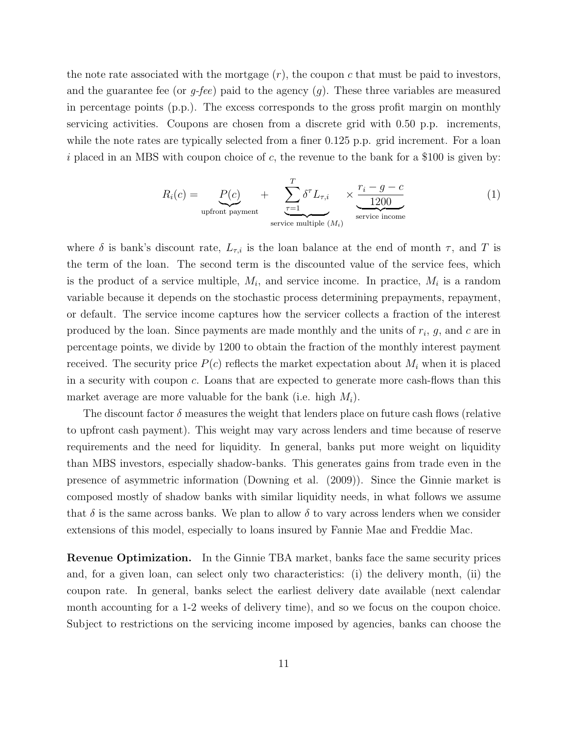the note rate associated with the mortgage  $(r)$ , the coupon c that must be paid to investors, and the guarantee fee (or  $g$ -fee) paid to the agency  $(g)$ . These three variables are measured in percentage points (p.p.). The excess corresponds to the gross profit margin on monthly servicing activities. Coupons are chosen from a discrete grid with 0.50 p.p. increments, while the note rates are typically selected from a finer 0.125 p.p. grid increment. For a loan i placed in an MBS with coupon choice of c, the revenue to the bank for a \$100 is given by:

<span id="page-10-0"></span>
$$
R_i(c) = \underbrace{P(c)}_{\text{upfront payment}} + \underbrace{\sum_{\tau=1}^{T} \delta^{\tau} L_{\tau,i}}_{\text{service multiple } (M_i)} \times \underbrace{\frac{r_i - g - c}{1200}}_{\text{service income}}
$$
(1)

where  $\delta$  is bank's discount rate,  $L_{\tau,i}$  is the loan balance at the end of month  $\tau$ , and T is the term of the loan. The second term is the discounted value of the service fees, which is the product of a service multiple,  $M_i$ , and service income. In practice,  $M_i$  is a random variable because it depends on the stochastic process determining prepayments, repayment, or default. The service income captures how the servicer collects a fraction of the interest produced by the loan. Since payments are made monthly and the units of  $r_i$ ,  $g$ , and  $c$  are in percentage points, we divide by 1200 to obtain the fraction of the monthly interest payment received. The security price  $P(c)$  reflects the market expectation about  $M_i$  when it is placed in a security with coupon c. Loans that are expected to generate more cash-flows than this market average are more valuable for the bank (i.e. high  $M_i$ ).

The discount factor  $\delta$  measures the weight that lenders place on future cash flows (relative to upfront cash payment). This weight may vary across lenders and time because of reserve requirements and the need for liquidity. In general, banks put more weight on liquidity than MBS investors, especially shadow-banks. This generates gains from trade even in the presence of asymmetric information [\(Downing et al. \(2009\)\)](#page-24-4). Since the Ginnie market is composed mostly of shadow banks with similar liquidity needs, in what follows we assume that  $\delta$  is the same across banks. We plan to allow  $\delta$  to vary across lenders when we consider extensions of this model, especially to loans insured by Fannie Mae and Freddie Mac.

Revenue Optimization. In the Ginnie TBA market, banks face the same security prices and, for a given loan, can select only two characteristics: (i) the delivery month, (ii) the coupon rate. In general, banks select the earliest delivery date available (next calendar month accounting for a 1-2 weeks of delivery time), and so we focus on the coupon choice. Subject to restrictions on the servicing income imposed by agencies, banks can choose the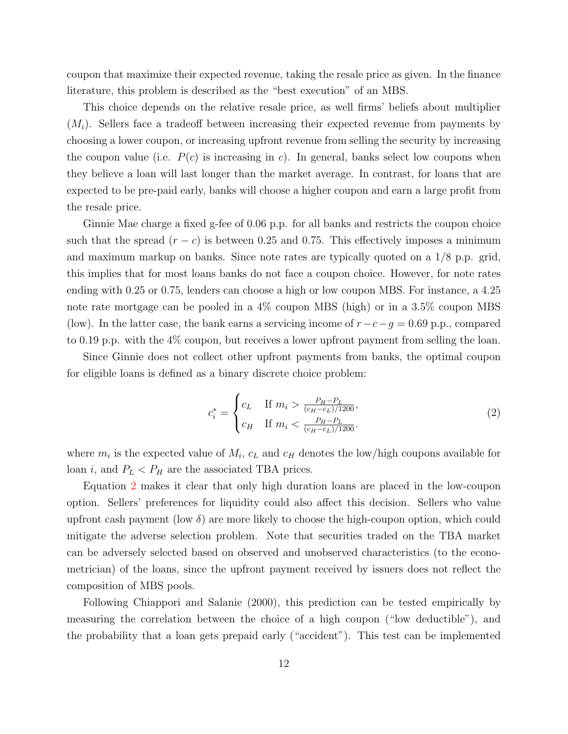coupon that maximize their expected revenue, taking the resale price as given. In the finance literature, this problem is described as the "best execution" of an MBS.

This choice depends on the relative resale price, as well firms' beliefs about multiplier  $(M_i)$ . Sellers face a tradeoff between increasing their expected revenue from payments by choosing a lower coupon, or increasing upfront revenue from selling the security by increasing the coupon value (i.e.  $P(c)$  is increasing in c). In general, banks select low coupons when they believe a loan will last longer than the market average. In contrast, for loans that are expected to be pre-paid early, banks will choose a higher coupon and earn a large profit from the resale price.

Ginnie Mae charge a fixed g-fee of 0.06 p.p. for all banks and restricts the coupon choice such that the spread  $(r - c)$  is between 0.25 and 0.75. This effectively imposes a minimum and maximum markup on banks. Since note rates are typically quoted on a 1/8 p.p. grid, this implies that for most loans banks do not face a coupon choice. However, for note rates ending with 0.25 or 0.75, lenders can choose a high or low coupon MBS. For instance, a 4.25 note rate mortgage can be pooled in a 4% coupon MBS (high) or in a 3.5% coupon MBS (low). In the latter case, the bank earns a servicing income of  $r-c-g = 0.69$  p.p., compared to 0.19 p.p. with the 4% coupon, but receives a lower upfront payment from selling the loan.

Since Ginnie does not collect other upfront payments from banks, the optimal coupon for eligible loans is defined as a binary discrete choice problem:

<span id="page-11-0"></span>
$$
c_i^* = \begin{cases} c_L & \text{If } m_i > \frac{P_H - P_L}{(c_H - c_L)/1200}, \\ c_H & \text{If } m_i < \frac{P_H - P_L}{(c_H - c_L)/1200}. \end{cases}
$$
(2)

where  $m_i$  is the expected value of  $M_i$ ,  $c_L$  and  $c_H$  denotes the low/high coupons available for loan i, and  $P_L < P_H$  are the associated TBA prices.

Equation [2](#page-11-0) makes it clear that only high duration loans are placed in the low-coupon option. Sellers' preferences for liquidity could also affect this decision. Sellers who value upfront cash payment (low  $\delta$ ) are more likely to choose the high-coupon option, which could mitigate the adverse selection problem. Note that securities traded on the TBA market can be adversely selected based on observed and unobserved characteristics (to the econometrician) of the loans, since the upfront payment received by issuers does not reflect the composition of MBS pools.

Following [Chiappori and Salanie \(2000\),](#page-24-7) this prediction can be tested empirically by measuring the correlation between the choice of a high coupon ("low deductible"), and the probability that a loan gets prepaid early ("accident"). This test can be implemented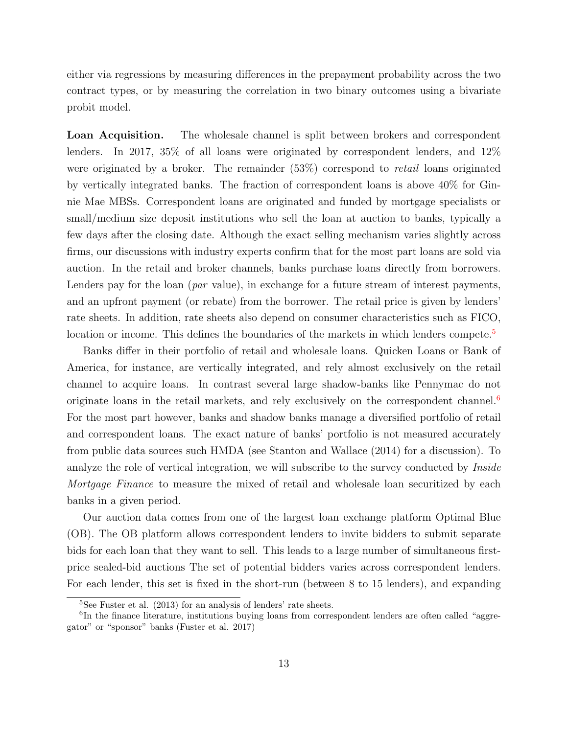either via regressions by measuring differences in the prepayment probability across the two contract types, or by measuring the correlation in two binary outcomes using a bivariate probit model.

Loan Acquisition. The wholesale channel is split between brokers and correspondent lenders. In 2017, 35% of all loans were originated by correspondent lenders, and 12% were originated by a broker. The remainder (53%) correspond to retail loans originated by vertically integrated banks. The fraction of correspondent loans is above 40% for Ginnie Mae MBSs. Correspondent loans are originated and funded by mortgage specialists or small/medium size deposit institutions who sell the loan at auction to banks, typically a few days after the closing date. Although the exact selling mechanism varies slightly across firms, our discussions with industry experts confirm that for the most part loans are sold via auction. In the retail and broker channels, banks purchase loans directly from borrowers. Lenders pay for the loan (*par* value), in exchange for a future stream of interest payments, and an upfront payment (or rebate) from the borrower. The retail price is given by lenders' rate sheets. In addition, rate sheets also depend on consumer characteristics such as FICO, location or income. This defines the boundaries of the markets in which lenders compete.<sup>[5](#page-12-0)</sup>

Banks differ in their portfolio of retail and wholesale loans. Quicken Loans or Bank of America, for instance, are vertically integrated, and rely almost exclusively on the retail channel to acquire loans. In contrast several large shadow-banks like Pennymac do not originate loans in the retail markets, and rely exclusively on the correspondent channel.<sup>[6](#page-12-1)</sup> For the most part however, banks and shadow banks manage a diversified portfolio of retail and correspondent loans. The exact nature of banks' portfolio is not measured accurately from public data sources such HMDA (see [Stanton and Wallace \(2014\)](#page-25-0) for a discussion). To analyze the role of vertical integration, we will subscribe to the survey conducted by *Inside* Mortgage Finance to measure the mixed of retail and wholesale loan securitized by each banks in a given period.

Our auction data comes from one of the largest loan exchange platform Optimal Blue (OB). The OB platform allows correspondent lenders to invite bidders to submit separate bids for each loan that they want to sell. This leads to a large number of simultaneous firstprice sealed-bid auctions The set of potential bidders varies across correspondent lenders. For each lender, this set is fixed in the short-run (between 8 to 15 lenders), and expanding

<span id="page-12-1"></span><span id="page-12-0"></span> ${}^{5}$ See [Fuster et al. \(2013\)](#page-24-9) for an analysis of lenders' rate sheets.

<sup>&</sup>lt;sup>6</sup>In the finance literature, institutions buying loans from correspondent lenders are often called "aggregator" or "sponsor" banks [\(Fuster et al. 2017\)](#page-24-10)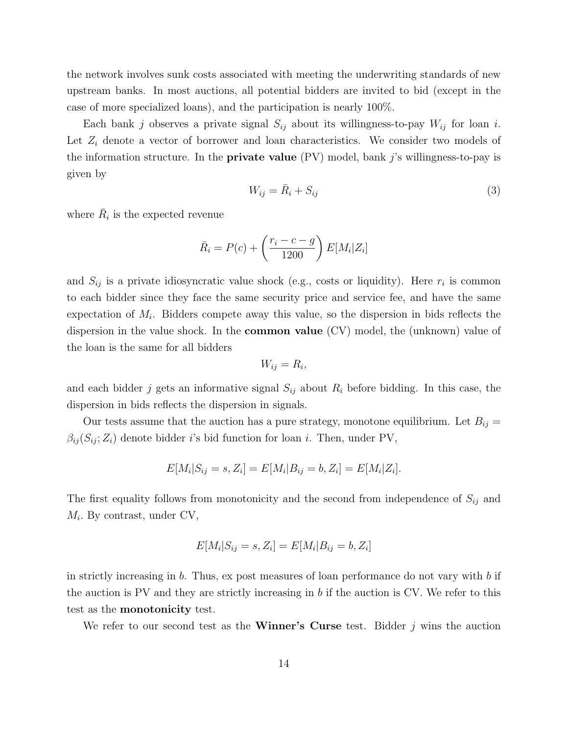the network involves sunk costs associated with meeting the underwriting standards of new upstream banks. In most auctions, all potential bidders are invited to bid (except in the case of more specialized loans), and the participation is nearly 100%.

Each bank j observes a private signal  $S_{ij}$  about its willingness-to-pay  $W_{ij}$  for loan i. Let  $Z_i$  denote a vector of borrower and loan characteristics. We consider two models of the information structure. In the **private value** (PV) model, bank  $j$ 's willingness-to-pay is given by

$$
W_{ij} = \bar{R}_i + S_{ij} \tag{3}
$$

where  $\bar{R}_i$  is the expected revenue

$$
\bar{R}_i = P(c) + \left(\frac{r_i - c - g}{1200}\right) E[M_i | Z_i]
$$

and  $S_{ij}$  is a private idiosyncratic value shock (e.g., costs or liquidity). Here  $r_i$  is common to each bidder since they face the same security price and service fee, and have the same expectation of  $M_i$ . Bidders compete away this value, so the dispersion in bids reflects the dispersion in the value shock. In the common value (CV) model, the (unknown) value of the loan is the same for all bidders

$$
W_{ij}=R_i,
$$

and each bidder j gets an informative signal  $S_{ij}$  about  $R_i$  before bidding. In this case, the dispersion in bids reflects the dispersion in signals.

Our tests assume that the auction has a pure strategy, monotone equilibrium. Let  $B_{ij} =$  $\beta_{ij}(S_{ij};Z_i)$  denote bidder i's bid function for loan i. Then, under PV,

$$
E[M_i|S_{ij} = s, Z_i] = E[M_i|B_{ij} = b, Z_i] = E[M_i|Z_i].
$$

The first equality follows from monotonicity and the second from independence of  $S_{ij}$  and  $M_i$ . By contrast, under CV,

$$
E[M_i|S_{ij} = s, Z_i] = E[M_i|B_{ij} = b, Z_i]
$$

in strictly increasing in  $b$ . Thus, ex post measures of loan performance do not vary with  $b$  if the auction is PV and they are strictly increasing in b if the auction is CV. We refer to this test as the monotonicity test.

We refer to our second test as the **Winner's Curse** test. Bidder j wins the auction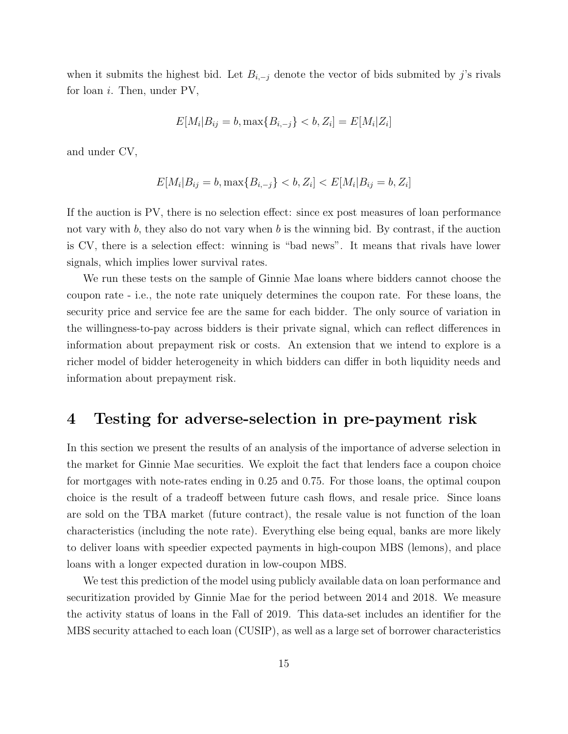when it submits the highest bid. Let  $B_{i,-j}$  denote the vector of bids submited by j's rivals for loan  $i$ . Then, under PV,

$$
E[M_i|B_{ij} = b, \max\{B_{i,-j}\} < b, Z_i] = E[M_i|Z_i]
$$

and under CV,

$$
E[M_i|B_{ij} = b, \max\{B_{i,-j}\} < b, Z_i] < E[M_i|B_{ij} = b, Z_i]
$$

If the auction is PV, there is no selection effect: since ex post measures of loan performance not vary with  $b$ , they also do not vary when  $b$  is the winning bid. By contrast, if the auction is CV, there is a selection effect: winning is "bad news". It means that rivals have lower signals, which implies lower survival rates.

We run these tests on the sample of Ginnie Mae loans where bidders cannot choose the coupon rate - i.e., the note rate uniquely determines the coupon rate. For these loans, the security price and service fee are the same for each bidder. The only source of variation in the willingness-to-pay across bidders is their private signal, which can reflect differences in information about prepayment risk or costs. An extension that we intend to explore is a richer model of bidder heterogeneity in which bidders can differ in both liquidity needs and information about prepayment risk.

## <span id="page-14-0"></span>4 Testing for adverse-selection in pre-payment risk

In this section we present the results of an analysis of the importance of adverse selection in the market for Ginnie Mae securities. We exploit the fact that lenders face a coupon choice for mortgages with note-rates ending in 0.25 and 0.75. For those loans, the optimal coupon choice is the result of a tradeoff between future cash flows, and resale price. Since loans are sold on the TBA market (future contract), the resale value is not function of the loan characteristics (including the note rate). Everything else being equal, banks are more likely to deliver loans with speedier expected payments in high-coupon MBS (lemons), and place loans with a longer expected duration in low-coupon MBS.

We test this prediction of the model using publicly available data on loan performance and securitization provided by Ginnie Mae for the period between 2014 and 2018. We measure the activity status of loans in the Fall of 2019. This data-set includes an identifier for the MBS security attached to each loan (CUSIP), as well as a large set of borrower characteristics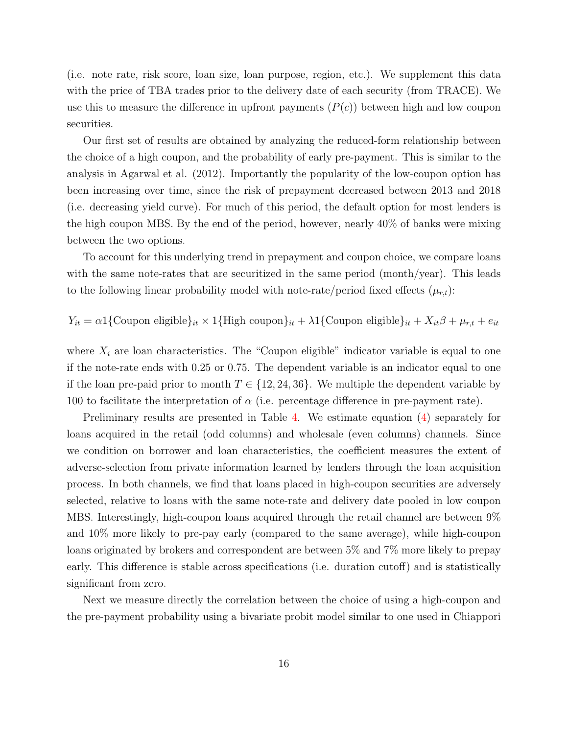(i.e. note rate, risk score, loan size, loan purpose, region, etc.). We supplement this data with the price of TBA trades prior to the delivery date of each security (from TRACE). We use this to measure the difference in upfront payments  $(P(c))$  between high and low coupon securities.

Our first set of results are obtained by analyzing the reduced-form relationship between the choice of a high coupon, and the probability of early pre-payment. This is similar to the analysis in [Agarwal et al. \(2012\).](#page-24-3) Importantly the popularity of the low-coupon option has been increasing over time, since the risk of prepayment decreased between 2013 and 2018 (i.e. decreasing yield curve). For much of this period, the default option for most lenders is the high coupon MBS. By the end of the period, however, nearly 40% of banks were mixing between the two options.

To account for this underlying trend in prepayment and coupon choice, we compare loans with the same note-rates that are securitized in the same period (month/year). This leads to the following linear probability model with note-rate/period fixed effects  $(\mu_{r,t})$ :

$$
Y_{it} = \alpha \mathbb{1}\{\text{Coupon eligible}\}_{it} \times \mathbb{1}\{\text{High coupon}\}_{it} + \lambda \mathbb{1}\{\text{Coupon eligible}\}_{it} + X_{it}\beta + \mu_{r,t} + e_{it}
$$

where  $X_i$  are loan characteristics. The "Coupon eligible" indicator variable is equal to one if the note-rate ends with 0.25 or 0.75. The dependent variable is an indicator equal to one if the loan pre-paid prior to month  $T \in \{12, 24, 36\}$ . We multiple the dependent variable by 100 to facilitate the interpretation of  $\alpha$  (i.e. percentage difference in pre-payment rate).

Preliminary results are presented in Table [4.](#page-16-0) We estimate equation [\(4\)](#page-14-0) separately for loans acquired in the retail (odd columns) and wholesale (even columns) channels. Since we condition on borrower and loan characteristics, the coefficient measures the extent of adverse-selection from private information learned by lenders through the loan acquisition process. In both channels, we find that loans placed in high-coupon securities are adversely selected, relative to loans with the same note-rate and delivery date pooled in low coupon MBS. Interestingly, high-coupon loans acquired through the retail channel are between 9% and 10% more likely to pre-pay early (compared to the same average), while high-coupon loans originated by brokers and correspondent are between 5% and 7% more likely to prepay early. This difference is stable across specifications (i.e. duration cutoff) and is statistically significant from zero.

Next we measure directly the correlation between the choice of using a high-coupon and the pre-payment probability using a bivariate probit model similar to one used in [Chiappori](#page-24-7)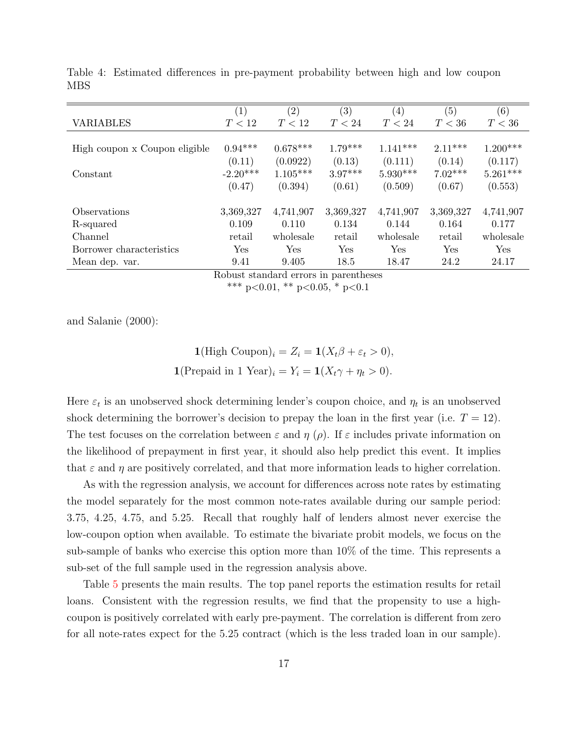|                               | $\left( 1\right)$ | $\left( 2\right)$    | (3)       | (4)        | (5)       | (6)        |
|-------------------------------|-------------------|----------------------|-----------|------------|-----------|------------|
| <b>VARIABLES</b>              | T < 12            | T < 12               | T < 24    | T < 24     | T < 36    | T < 36     |
|                               |                   |                      |           |            |           |            |
| High coupon x Coupon eligible | $0.94***$         | $0.678***$           | $1.79***$ | $1.141***$ | $2.11***$ | $1.200***$ |
|                               | (0.11)            | (0.0922)             | (0.13)    | (0.111)    | (0.14)    | (0.117)    |
| Constant                      | $-2.20***$        | $1.105***$           | $3.97***$ | $5.930***$ | $7.02***$ | $5.261***$ |
|                               | (0.47)            | (0.394)              | (0.61)    | (0.509)    | (0.67)    | (0.553)    |
|                               |                   |                      |           |            |           |            |
| Observations                  | 3,369,327         | 4,741,907            | 3,369,327 | 4,741,907  | 3,369,327 | 4,741,907  |
| R-squared                     | 0.109             | 0.110                | 0.134     | 0.144      | 0.164     | 0.177      |
| Channel                       | retail            | wholesale            | retail    | wholesale  | retail    | wholesale  |
| Borrower characteristics      | Yes               | $\operatorname{Yes}$ | Yes       | Yes        | Yes       | Yes        |
| Mean dep. var.                | 9.41              | 9.405                | 18.5      | 18.47      | 24.2      | 24.17      |

<span id="page-16-0"></span>[Table 4: Estimated differences in pre-payment probability between high and low coupon](#page-24-7) MBS

Robust standard errors in parentheses \*\*\* p<0.01, \*\* p<0.05, \* p<0.1

[and Salanie \(2000\):](#page-24-7)

$$
\mathbf{1}(\text{High Coupon})_i = Z_i = \mathbf{1}(X_t \beta + \varepsilon_t > 0),
$$

$$
\mathbf{1}(\text{Prepaid in 1 Year})_i = Y_i = \mathbf{1}(X_t \gamma + \eta_t > 0).
$$

Here  $\varepsilon_t$  is an unobserved shock determining lender's coupon choice, and  $\eta_t$  is an unobserved shock determining the borrower's decision to prepay the loan in the first year (i.e.  $T = 12$ ). The test focuses on the correlation between  $\varepsilon$  and  $\eta$  ( $\rho$ ). If  $\varepsilon$  includes private information on the likelihood of prepayment in first year, it should also help predict this event. It implies that  $\varepsilon$  and  $\eta$  are positively correlated, and that more information leads to higher correlation.

As with the regression analysis, we account for differences across note rates by estimating the model separately for the most common note-rates available during our sample period: 3.75, 4.25, 4.75, and 5.25. Recall that roughly half of lenders almost never exercise the low-coupon option when available. To estimate the bivariate probit models, we focus on the sub-sample of banks who exercise this option more than 10% of the time. This represents a sub-set of the full sample used in the regression analysis above.

Table [5](#page-17-0) presents the main results. The top panel reports the estimation results for retail loans. Consistent with the regression results, we find that the propensity to use a highcoupon is positively correlated with early pre-payment. The correlation is different from zero for all note-rates expect for the 5.25 contract (which is the less traded loan in our sample).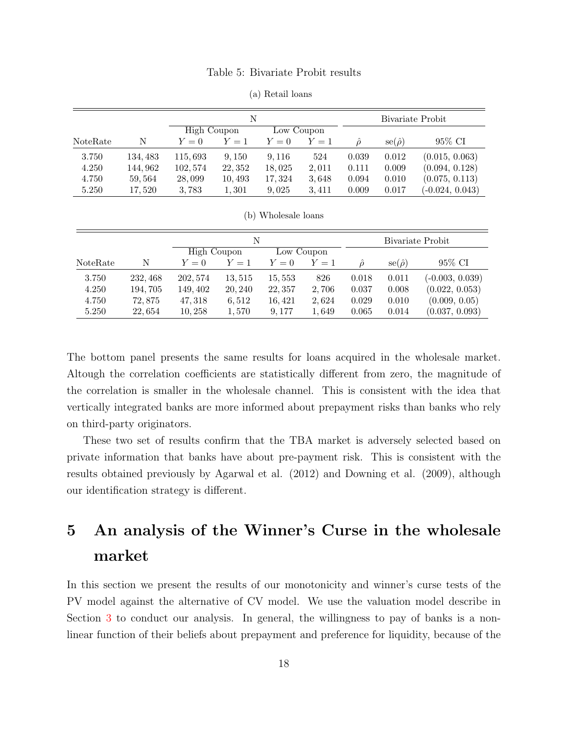#### Table 5: Bivariate Probit results

<span id="page-17-0"></span>

|          |          |             | N       |            |       |       |                           | Bivariate Probit  |
|----------|----------|-------------|---------|------------|-------|-------|---------------------------|-------------------|
|          |          | High Coupon |         | Low Coupon |       |       |                           |                   |
| NoteRate | N        | $Y=0$       | $Y=1$   | $Y=0$      | $Y=1$ | ô     | $\mathrm{se}(\hat{\rho})$ | 95% CI            |
| 3.750    | 134, 483 | 115,693     | 9,150   | 9, 116     | 524   | 0.039 | 0.012                     | (0.015, 0.063)    |
| 4.250    | 144,962  | 102,574     | 22, 352 | 18,025     | 2,011 | 0.111 | 0.009                     | (0.094, 0.128)    |
| 4.750    | 59,564   | 28,099      | 10,493  | 17, 324    | 3.648 | 0.094 | 0.010                     | (0.075, 0.113)    |
| 5.250    | 17,520   | 3,783       | 1,301   | 9,025      | 3,411 | 0.009 | 0.017                     | $(-0.024, 0.043)$ |

(a) Retail loans

|          |          |             | N       |            |       |       |                           | Bivariate Probit  |
|----------|----------|-------------|---------|------------|-------|-------|---------------------------|-------------------|
|          |          | High Coupon |         | Low Coupon |       |       |                           |                   |
| NoteRate | N        | $Y=0$       | $Y=1$   | $Y=0$      | $Y=1$ | ô     | $\mathrm{se}(\hat{\rho})$ | 95% CI            |
| 3.750    | 232, 468 | 202, 574    | 13,515  | 15,553     | 826   | 0.018 | 0.011                     | $(-0.003, 0.039)$ |
| 4.250    | 194, 705 | 149, 402    | 20, 240 | 22, 357    | 2,706 | 0.037 | 0.008                     | (0.022, 0.053)    |
| 4.750    | 72,875   | 47, 318     | 6.512   | 16, 421    | 2,624 | 0.029 | 0.010                     | (0.009, 0.05)     |
| 5.250    | 22,654   | 10,258      | 1,570   | 9,177      | 1,649 | 0.065 | 0.014                     | (0.037, 0.093)    |

(b) Wholesale loans

The bottom panel presents the same results for loans acquired in the wholesale market. Altough the correlation coefficients are statistically different from zero, the magnitude of the correlation is smaller in the wholesale channel. This is consistent with the idea that vertically integrated banks are more informed about prepayment risks than banks who rely on third-party originators.

These two set of results confirm that the TBA market is adversely selected based on private information that banks have about pre-payment risk. This is consistent with the results obtained previously by [Agarwal et al. \(2012\)](#page-24-3) and [Downing et al. \(2009\),](#page-24-4) although our identification strategy is different.

## 5 An analysis of the Winner's Curse in the wholesale market

In this section we present the results of our monotonicity and winner's curse tests of the PV model against the alternative of CV model. We use the valuation model describe in Section [3](#page-9-1) to conduct our analysis. In general, the willingness to pay of banks is a nonlinear function of their beliefs about prepayment and preference for liquidity, because of the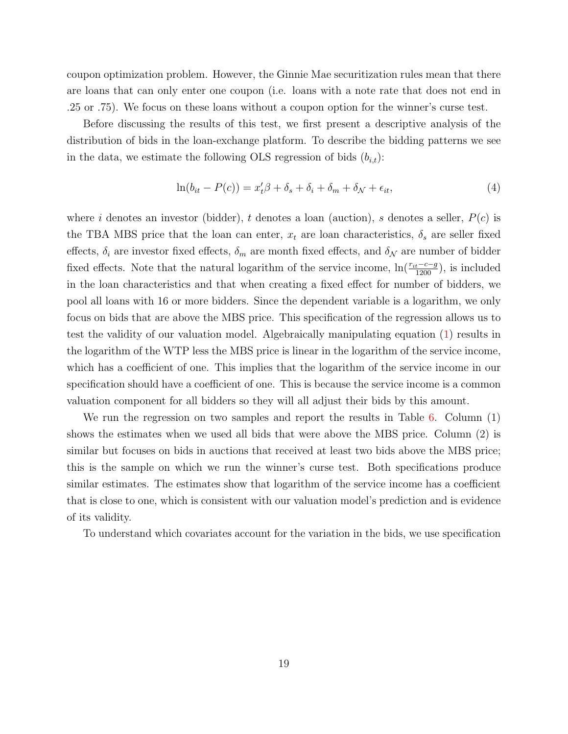coupon optimization problem. However, the Ginnie Mae securitization rules mean that there are loans that can only enter one coupon (i.e. loans with a note rate that does not end in .25 or .75). We focus on these loans without a coupon option for the winner's curse test.

Before discussing the results of this test, we first present a descriptive analysis of the distribution of bids in the loan-exchange platform. To describe the bidding patterns we see in the data, we estimate the following OLS regression of bids  $(b_{i,t})$ :

<span id="page-18-0"></span>
$$
\ln(b_{it} - P(c)) = x_t'\beta + \delta_s + \delta_i + \delta_m + \delta_{\mathcal{N}} + \epsilon_{it},\tag{4}
$$

where i denotes an investor (bidder), t denotes a loan (auction), s denotes a seller,  $P(c)$  is the TBA MBS price that the loan can enter,  $x_t$  are loan characteristics,  $\delta_s$  are seller fixed effects,  $\delta_i$  are investor fixed effects,  $\delta_m$  are month fixed effects, and  $\delta_{\mathcal{N}}$  are number of bidder fixed effects. Note that the natural logarithm of the service income,  $\ln(\frac{r_{it}-c-g}{1200})$ , is included in the loan characteristics and that when creating a fixed effect for number of bidders, we pool all loans with 16 or more bidders. Since the dependent variable is a logarithm, we only focus on bids that are above the MBS price. This specification of the regression allows us to test the validity of our valuation model. Algebraically manipulating equation [\(1\)](#page-10-0) results in the logarithm of the WTP less the MBS price is linear in the logarithm of the service income, which has a coefficient of one. This implies that the logarithm of the service income in our specification should have a coefficient of one. This is because the service income is a common valuation component for all bidders so they will all adjust their bids by this amount.

We run the regression on two samples and report the results in Table [6.](#page-19-0) Column  $(1)$ shows the estimates when we used all bids that were above the MBS price. Column (2) is similar but focuses on bids in auctions that received at least two bids above the MBS price; this is the sample on which we run the winner's curse test. Both specifications produce similar estimates. The estimates show that logarithm of the service income has a coefficient that is close to one, which is consistent with our valuation model's prediction and is evidence of its validity.

To understand which covariates account for the variation in the bids, we use specification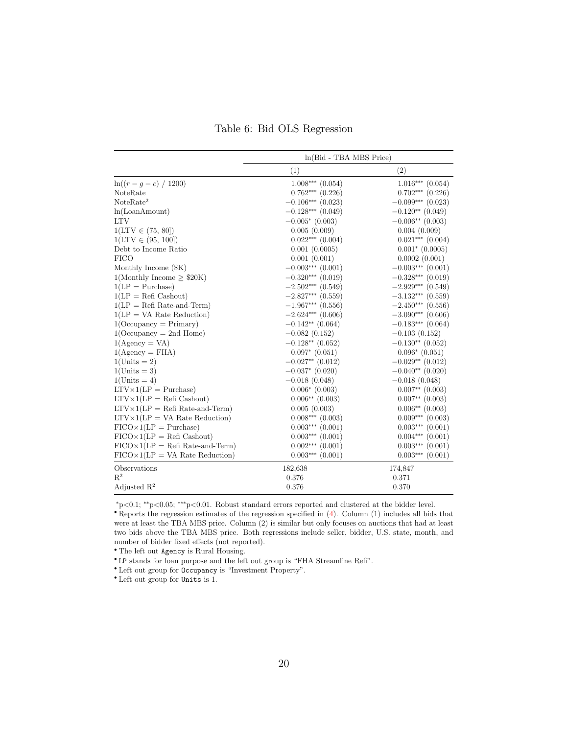Table 6: Bid OLS Regression

<span id="page-19-0"></span>

|                                                | $ln(Bid - TBA MBS Price)$ |                      |
|------------------------------------------------|---------------------------|----------------------|
|                                                | (1)                       | (2)                  |
| $\ln((r-q-c)/1200)$                            | $1.008***$ $(0.054)$      | $1.016***$ $(0.054)$ |
| NoteRate                                       | $0.762***$ $(0.226)$      | $0.702***$ $(0.226)$ |
| NoteRate <sup>2</sup>                          | $-0.106***$ (0.023)       | $-0.099***$ (0.023)  |
| ln(LoanAmount)                                 | $-0.128***$ (0.049)       | $-0.120**$ (0.049)   |
| <b>LTV</b>                                     | $-0.005*(0.003)$          | $-0.006**$ (0.003)   |
| $1(LTV \in (75, 80])$                          | 0.005(0.009)              | 0.004(0.009)         |
| $1(LTV \in (95, 100])$                         | $0.022***$ $(0.004)$      | $0.021***$ $(0.004)$ |
| Debt to Income Ratio                           | 0.001(0.0005)             | $0.001^*$ (0.0005)   |
| <b>FICO</b>                                    | 0.001(0.001)              | 0.0002(0.001)        |
| Monthly Income $(\$K)$                         | $-0.003***$ (0.001)       | $-0.003***$ (0.001)  |
| 1(Monthly Income $\geq$ \$20K)                 | $-0.320***$ (0.019)       | $-0.328***$ (0.019)  |
| $1(LP = Purchase)$                             | $-2.502***$ (0.549)       | $-2.929***$ (0.549)  |
| $1(LP = Refi Cashout)$                         | $-2.827***$ (0.559)       | $-3.132***$ (0.559)  |
| $1(LP = Refi Rate-and-Term)$                   | $-1.967***$ (0.556)       | $-2.450***$ (0.556)  |
| $1(LP = VA$ Rate Reduction)                    | $-2.624***$ (0.606)       | $-3.090***$ (0.606)  |
| $1$ (Occupancy = Primary)                      | $-0.142**$ (0.064)        | $-0.183***$ (0.064)  |
| $1$ (Occupancy = 2nd Home)                     | $-0.082(0.152)$           | $-0.103(0.152)$      |
| $1(Agency = VA)$                               | $-0.128**$ (0.052)        | $-0.130**$ (0.052)   |
| $1(Agency = FHA)$                              | $0.097*$ $(0.051)$        | $0.096*(0.051)$      |
| $1$ (Units = 2)                                | $-0.027**$ (0.012)        | $-0.029**$ (0.012)   |
| $1$ (Units = 3)                                | $-0.037$ * (0.020)        | $-0.040**$ (0.020)   |
| $1$ (Units = 4)                                | $-0.018(0.048)$           | $-0.018(0.048)$      |
| $LTV \times 1(LP) =$ Purchase)                 | $0.006*$ (0.003)          | $0.007**$ (0.003)    |
| $LTV \times 1(LP) = \text{Refi}$ Cashout)      | $0.006**$ (0.003)         | $0.007**$ $(0.003)$  |
| $LTV \times 1(LP) = \text{Refi Rate-and-Term}$ | 0.005(0.003)              | $0.006**$ (0.003)    |
| $LTV \times 1(LP = VA$ Rate Reduction)         | $0.008***$ $(0.003)$      | $0.009***$ $(0.003)$ |
| $FICO\times1(LP = Purchase)$                   | $0.003***$ $(0.001)$      | $0.003***$ $(0.001)$ |
| $FICO\times1(LP)$ Refi Cashout)                | $0.003***$ $(0.001)$      | $0.004***$ $(0.001)$ |
| $FICO\times1(LP = Refi Rate-and-Term)$         | $0.002***$ $(0.001)$      | $0.003***$ $(0.001)$ |
| $FICO\times1(LP = VA$ Rate Reduction)          | $0.003***$ $(0.001)$      | $0.003***$ $(0.001)$ |
| Observations                                   | 182,638                   | 174,847              |
| $R^2$                                          | 0.376                     | 0.371                |
| Adjusted $\mathbb{R}^2$                        | 0.376                     | 0.370                |

<sup>∗</sup>p<0.1; ∗∗p<0.05; ∗∗∗p<0.01. Robust standard errors reported and clustered at the bidder level.

• Reports the regression estimates of the regression specified in [\(4\)](#page-18-0). Column (1) includes all bids that were at least the TBA MBS price. Column (2) is similar but only focuses on auctions that had at least two bids above the TBA MBS price. Both regressions include seller, bidder, U.S. state, month, and number of bidder fixed effects (not reported).

• The left out Agency is Rural Housing.

• LP stands for loan purpose and the left out group is "FHA Streamline Refi".

• Left out group for Occupancy is "Investment Property".

• Left out group for Units is 1.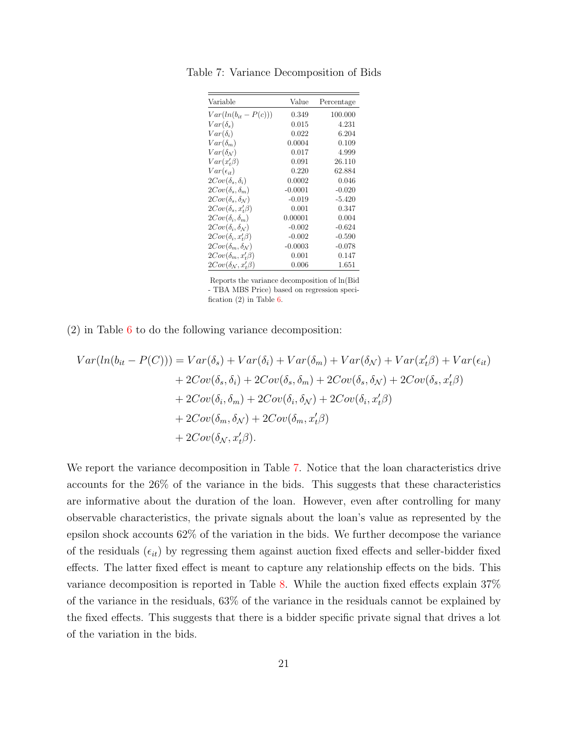| Variable                                         | Value     | Percentage |
|--------------------------------------------------|-----------|------------|
| $Var(ln(b_{it} - P(c)))$                         | 0.349     | 100.000    |
| $Var(\delta_s)$                                  | 0.015     | 4.231      |
| $Var(\delta_i)$                                  | 0.022     | 6.204      |
| $Var(\delta_m)$                                  | 0.0004    | 0.109      |
| $Var(\delta_N)$                                  | 0.017     | 4.999      |
| $Var(x, \beta)$                                  | 0.091     | 26.110     |
| $Var(\epsilon_{it})$                             | 0.220     | 62.884     |
| $2Cov(\delta_s, \delta_i)$                       | 0.0002    | 0.046      |
| $2Cov(\delta_s, \delta_m)$                       | $-0.0001$ | $-0.020$   |
| $2Cov(\delta_s, \delta_N)$                       | $-0.019$  | $-5.420$   |
| $2Cov(\delta_s, x'_t \beta)$                     | 0.001     | 0.347      |
| $2Cov(\delta_i, \delta_m)$                       | 0.00001   | 0.004      |
| $2Cov(\delta_i, \delta_N)$                       | $-0.002$  | $-0.624$   |
| $2Cov(\delta_i, x'_i, \beta)$                    | $-0.002$  | $-0.590$   |
| $2Cov(\delta_m, \delta_N)$                       | $-0.0003$ | $-0.078$   |
| $2Cov(\delta_m, x'_t \beta)$                     | 0.001     | 0.147      |
| $2Cov(\delta_{\mathcal{N}}, x_t^{\prime} \beta)$ | 0.006     | 1.651      |

<span id="page-20-0"></span>Table 7: Variance Decomposition of Bids

Reports the variance decomposition of ln(Bid - TBA MBS Price) based on regression specification (2) in Table [6.](#page-19-0)

(2) in Table [6](#page-19-0) to do the following variance decomposition:

$$
Var(ln(b_{it} - P(C))) = Var(\delta_{s}) + Var(\delta_{i}) + Var(\delta_{m}) + Var(\delta_{N}) + Var(x_{t}'\beta) + Var(\epsilon_{it})
$$
  
+ 2Cov(\delta\_{s}, \delta\_{i}) + 2Cov(\delta\_{s}, \delta\_{m}) + 2Cov(\delta\_{s}, \delta\_{N}) + 2Cov(\delta\_{s}, x\_{t}'\beta)  
+ 2Cov(\delta\_{i}, \delta\_{m}) + 2Cov(\delta\_{i}, \delta\_{N}) + 2Cov(\delta\_{i}, x\_{t}'\beta)  
+ 2Cov(\delta\_{m}, \delta\_{N}) + 2Cov(\delta\_{m}, x\_{t}'\beta)  
+ 2Cov(\delta\_{N}, x\_{t}'\beta).

We report the variance decomposition in Table [7.](#page-20-0) Notice that the loan characteristics drive accounts for the 26% of the variance in the bids. This suggests that these characteristics are informative about the duration of the loan. However, even after controlling for many observable characteristics, the private signals about the loan's value as represented by the epsilon shock accounts 62% of the variation in the bids. We further decompose the variance of the residuals  $(\epsilon_{it})$  by regressing them against auction fixed effects and seller-bidder fixed effects. The latter fixed effect is meant to capture any relationship effects on the bids. This variance decomposition is reported in Table [8.](#page-21-0) While the auction fixed effects explain 37% of the variance in the residuals, 63% of the variance in the residuals cannot be explained by the fixed effects. This suggests that there is a bidder specific private signal that drives a lot of the variation in the bids.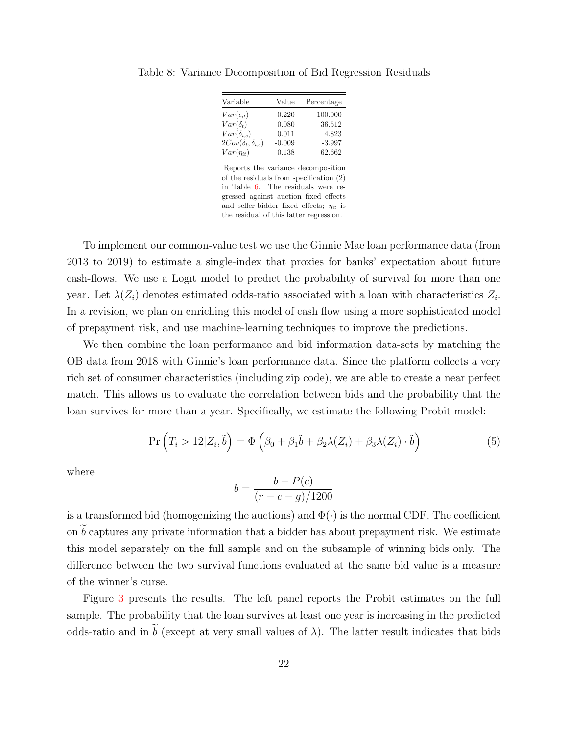| Variable                       | Value    | Percentage |
|--------------------------------|----------|------------|
| $Var(\epsilon_{it})$           | 0.220    | 100.000    |
| $Var(\delta_t)$                | 0.080    | 36.512     |
| $Var(\delta_{i,s})$            | 0.011    | 4.823      |
| $2Cov(\delta_t, \delta_{i,s})$ | $-0.009$ | $-3.997$   |
| $Var(\eta_{it})$               | 0.138    | 62.662     |

<span id="page-21-0"></span>Table 8: Variance Decomposition of Bid Regression Residuals

Reports the variance decomposition of the residuals from specification (2) in Table [6.](#page-19-0) The residuals were regressed against auction fixed effects and seller-bidder fixed effects;  $\eta_{it}$  is the residual of this latter regression.

To implement our common-value test we use the Ginnie Mae loan performance data (from 2013 to 2019) to estimate a single-index that proxies for banks' expectation about future cash-flows. We use a Logit model to predict the probability of survival for more than one year. Let  $\lambda(Z_i)$  denotes estimated odds-ratio associated with a loan with characteristics  $Z_i$ . In a revision, we plan on enriching this model of cash flow using a more sophisticated model of prepayment risk, and use machine-learning techniques to improve the predictions.

We then combine the loan performance and bid information data-sets by matching the OB data from 2018 with Ginnie's loan performance data. Since the platform collects a very rich set of consumer characteristics (including zip code), we are able to create a near perfect match. This allows us to evaluate the correlation between bids and the probability that the loan survives for more than a year. Specifically, we estimate the following Probit model:

$$
\Pr\left(T_i > 12|Z_i, \tilde{b}\right) = \Phi\left(\beta_0 + \beta_1 \tilde{b} + \beta_2 \lambda(Z_i) + \beta_3 \lambda(Z_i) \cdot \tilde{b}\right)
$$
\n(5)

where

$$
\tilde{b} = \frac{b - P(c)}{(r - c - g)/1200}
$$

is a transformed bid (homogenizing the auctions) and  $\Phi(\cdot)$  is the normal CDF. The coefficient on  $b$  captures any private information that a bidder has about prepayment risk. We estimate this model separately on the full sample and on the subsample of winning bids only. The difference between the two survival functions evaluated at the same bid value is a measure of the winner's curse.

Figure [3](#page-22-0) presents the results. The left panel reports the Probit estimates on the full sample. The probability that the loan survives at least one year is increasing in the predicted odds-ratio and in b (except at very small values of  $\lambda$ ). The latter result indicates that bids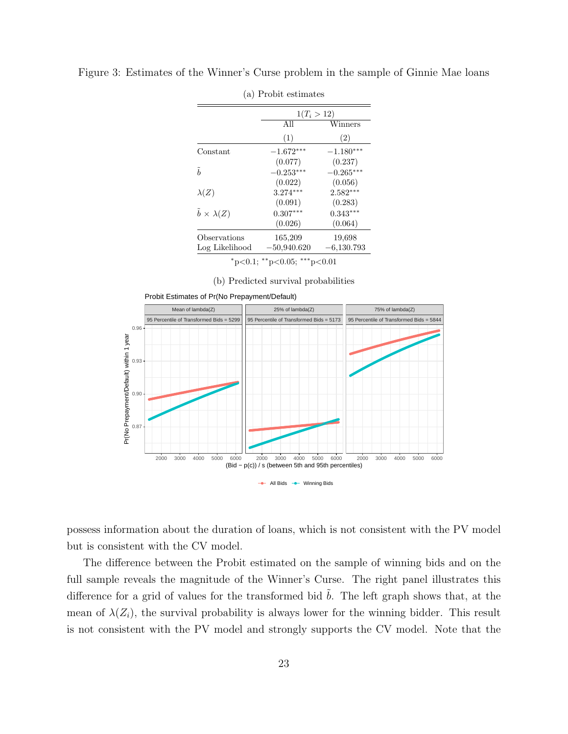|                               | $1(T_i > 12)$ |              |  |  |
|-------------------------------|---------------|--------------|--|--|
|                               | All           | Winners      |  |  |
|                               | (1)           | (2)          |  |  |
| Constant                      | $-1.672***$   | $-1.180***$  |  |  |
|                               | (0.077)       | (0.237)      |  |  |
| $\tilde{b}$                   | $-0.253***$   | $-0.265***$  |  |  |
|                               | (0.022)       | (0.056)      |  |  |
| $\lambda(Z)$                  | $3.274***$    | $2.582***$   |  |  |
|                               | (0.091)       | (0.283)      |  |  |
| $\tilde{b} \times \lambda(Z)$ | $0.307***$    | $0.343***$   |  |  |
|                               | (0.026)       | (0.064)      |  |  |
| Observations                  | 165,209       | 19.698       |  |  |
| Log Likelihood                | $-50,940.620$ | $-6,130.793$ |  |  |

<span id="page-22-0"></span>Figure 3: Estimates of the Winner's Curse problem in the sample of Ginnie Mae loans

(a) Probit estimates

(b) Predicted survival probabilities



Probit Estimates of Pr(No Prepayment/Default)

possess information about the duration of loans, which is not consistent with the PV model but is consistent with the CV model.

The difference between the Probit estimated on the sample of winning bids and on the full sample reveals the magnitude of the Winner's Curse. The right panel illustrates this difference for a grid of values for the transformed bid  $\tilde{b}$ . The left graph shows that, at the mean of  $\lambda(Z_i)$ , the survival probability is always lower for the winning bidder. This result is not consistent with the PV model and strongly supports the CV model. Note that the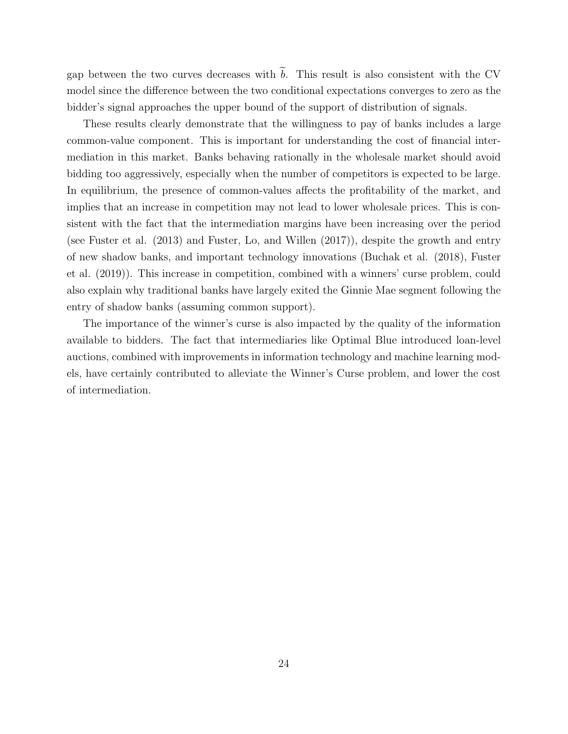gap between the two curves decreases with  $\overline{b}$ . This result is also consistent with the CV model since the difference between the two conditional expectations converges to zero as the bidder's signal approaches the upper bound of the support of distribution of signals.

These results clearly demonstrate that the willingness to pay of banks includes a large common-value component. This is important for understanding the cost of financial intermediation in this market. Banks behaving rationally in the wholesale market should avoid bidding too aggressively, especially when the number of competitors is expected to be large. In equilibrium, the presence of common-values affects the profitability of the market, and implies that an increase in competition may not lead to lower wholesale prices. This is consistent with the fact that the intermediation margins have been increasing over the period (see [Fuster et al. \(2013\)](#page-24-9) and [Fuster, Lo, and Willen \(2017\)\)](#page-24-10), despite the growth and entry of new shadow banks, and important technology innovations [\(Buchak et al. \(2018\),](#page-24-11) [Fuster](#page-24-12) [et al. \(2019\)\)](#page-24-12). This increase in competition, combined with a winners' curse problem, could also explain why traditional banks have largely exited the Ginnie Mae segment following the entry of shadow banks (assuming common support).

The importance of the winner's curse is also impacted by the quality of the information available to bidders. The fact that intermediaries like Optimal Blue introduced loan-level auctions, combined with improvements in information technology and machine learning models, have certainly contributed to alleviate the Winner's Curse problem, and lower the cost of intermediation.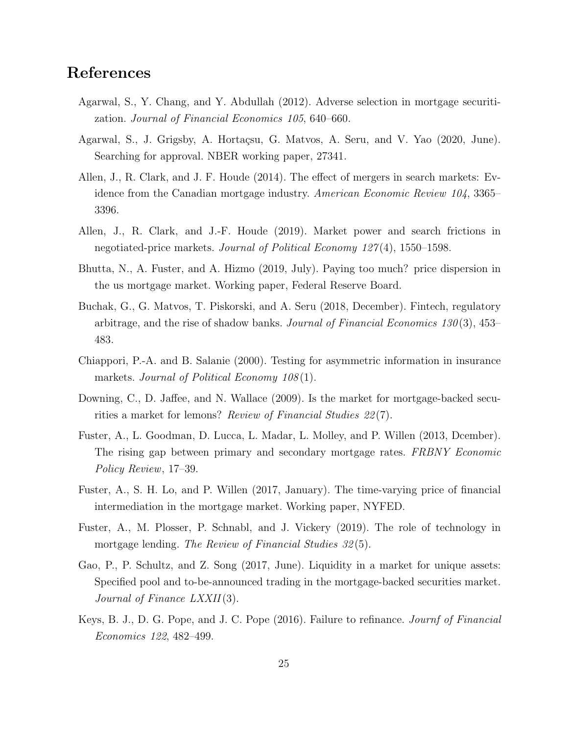## References

- <span id="page-24-3"></span>Agarwal, S., Y. Chang, and Y. Abdullah (2012). Adverse selection in mortgage securitization. Journal of Financial Economics 105, 640–660.
- <span id="page-24-2"></span>Agarwal, S., J. Grigsby, A. Hortaçsu, G. Matvos, A. Seru, and V. Yao (2020, June). Searching for approval. NBER working paper, 27341.
- <span id="page-24-0"></span>Allen, J., R. Clark, and J. F. Houde (2014). The effect of mergers in search markets: Evidence from the Canadian mortgage industry. American Economic Review 104, 3365– 3396.
- <span id="page-24-1"></span>Allen, J., R. Clark, and J.-F. Houde (2019). Market power and search frictions in negotiated-price markets. Journal of Political Economy 127 (4), 1550–1598.
- <span id="page-24-6"></span>Bhutta, N., A. Fuster, and A. Hizmo (2019, July). Paying too much? price dispersion in the us mortgage market. Working paper, Federal Reserve Board.
- <span id="page-24-11"></span>Buchak, G., G. Matvos, T. Piskorski, and A. Seru (2018, December). Fintech, regulatory arbitrage, and the rise of shadow banks. Journal of Financial Economics  $130(3)$ ,  $453-$ 483.
- <span id="page-24-7"></span>Chiappori, P.-A. and B. Salanie (2000). Testing for asymmetric information in insurance markets. Journal of Political Economy  $108(1)$ .
- <span id="page-24-4"></span>Downing, C., D. Jaffee, and N. Wallace (2009). Is the market for mortgage-backed securities a market for lemons? Review of Financial Studies 22 (7).
- <span id="page-24-9"></span>Fuster, A., L. Goodman, D. Lucca, L. Madar, L. Molley, and P. Willen (2013, Dcember). The rising gap between primary and secondary mortgage rates. FRBNY Economic Policy Review, 17–39.
- <span id="page-24-10"></span>Fuster, A., S. H. Lo, and P. Willen (2017, January). The time-varying price of financial intermediation in the mortgage market. Working paper, NYFED.
- <span id="page-24-12"></span>Fuster, A., M. Plosser, P. Schnabl, and J. Vickery (2019). The role of technology in mortgage lending. The Review of Financial Studies 32(5).
- <span id="page-24-8"></span>Gao, P., P. Schultz, and Z. Song (2017, June). Liquidity in a market for unique assets: Specified pool and to-be-announced trading in the mortgage-backed securities market. Journal of Finance LXXII(3).
- <span id="page-24-5"></span>Keys, B. J., D. G. Pope, and J. C. Pope (2016). Failure to refinance. Journf of Financial Economics 122, 482–499.